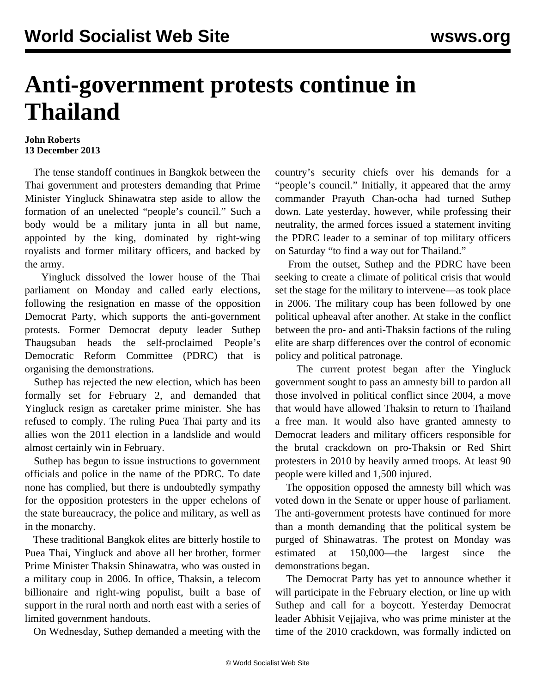## **Anti-government protests continue in Thailand**

## **John Roberts 13 December 2013**

 The tense standoff continues in Bangkok between the Thai government and protesters demanding that Prime Minister Yingluck Shinawatra step aside to allow the formation of an unelected "people's council." Such a body would be a military junta in all but name, appointed by the king, dominated by right-wing royalists and former military officers, and backed by the army.

 Yingluck dissolved the lower house of the Thai parliament on Monday and called early elections, following the resignation en masse of the opposition Democrat Party, which supports the anti-government protests. Former Democrat deputy leader Suthep Thaugsuban heads the self-proclaimed People's Democratic Reform Committee (PDRC) that is organising the demonstrations.

 Suthep has rejected the new election, which has been formally set for February 2, and demanded that Yingluck resign as caretaker prime minister. She has refused to comply. The ruling Puea Thai party and its allies won the 2011 election in a landslide and would almost certainly win in February.

 Suthep has begun to issue instructions to government officials and police in the name of the PDRC. To date none has complied, but there is undoubtedly sympathy for the opposition protesters in the upper echelons of the state bureaucracy, the police and military, as well as in the monarchy.

 These traditional Bangkok elites are bitterly hostile to Puea Thai, Yingluck and above all her brother, former Prime Minister Thaksin Shinawatra, who was ousted in a military coup in 2006. In office, Thaksin, a telecom billionaire and right-wing populist, built a base of support in the rural north and north east with a series of limited government handouts.

On Wednesday, Suthep demanded a meeting with the

country's security chiefs over his demands for a "people's council." Initially, it appeared that the army commander Prayuth Chan-ocha had turned Suthep down. Late yesterday, however, while professing their neutrality, the armed forces issued a statement inviting the PDRC leader to a seminar of top military officers on Saturday "to find a way out for Thailand."

 From the outset, Suthep and the PDRC have been seeking to create a climate of political crisis that would set the stage for the military to intervene—as took place in 2006. The military coup has been followed by one political upheaval after another. At stake in the conflict between the pro- and anti-Thaksin factions of the ruling elite are sharp differences over the control of economic policy and political patronage.

 The current protest began after the Yingluck government sought to pass an amnesty bill to pardon all those involved in political conflict since 2004, a move that would have allowed Thaksin to return to Thailand a free man. It would also have granted amnesty to Democrat leaders and military officers responsible for the brutal crackdown on pro-Thaksin or Red Shirt protesters in 2010 by heavily armed troops. At least 90 people were killed and 1,500 injured.

 The opposition opposed the amnesty bill which was voted down in the Senate or upper house of parliament. The anti-government protests have continued for more than a month demanding that the political system be purged of Shinawatras. The protest on Monday was estimated at 150,000—the largest since the demonstrations began.

 The Democrat Party has yet to announce whether it will participate in the February election, or line up with Suthep and call for a boycott. Yesterday Democrat leader Abhisit Vejjajiva, who was prime minister at the time of the 2010 crackdown, was formally indicted on